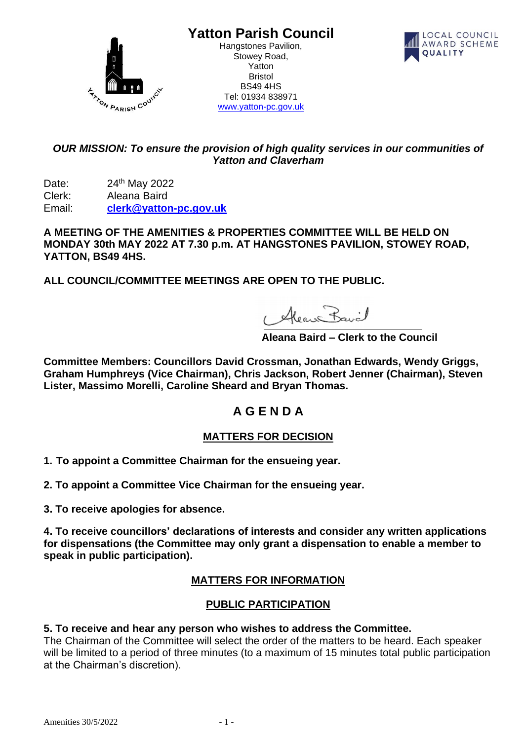

**Yatton Parish Council**

Hangstones Pavilion, Stowey Road, Yatton Bristol BS49 4HS Tel: 01934 838971 [www.yatton-pc.gov.uk](http://www.yatton-pc.gov.uk/)



## *OUR MISSION: To ensure the provision of high quality services in our communities of Yatton and Claverham*

Date: 24th May 2022 Clerk: Aleana Baird Email: **[clerk@yatton-pc.gov.uk](mailto:clerk@yatton-pc.gov.uk)**

**A MEETING OF THE AMENITIES & PROPERTIES COMMITTEE WILL BE HELD ON MONDAY 30th MAY 2022 AT 7.30 p.m. AT HANGSTONES PAVILION, STOWEY ROAD, YATTON, BS49 4HS.** 

**ALL COUNCIL/COMMITTEE MEETINGS ARE OPEN TO THE PUBLIC.**

Alean Bavil

 **Aleana Baird – Clerk to the Council**

**Committee Members: Councillors David Crossman, Jonathan Edwards, Wendy Griggs, Graham Humphreys (Vice Chairman), Chris Jackson, Robert Jenner (Chairman), Steven Lister, Massimo Morelli, Caroline Sheard and Bryan Thomas.**

# **A G E N D A**

## **MATTERS FOR DECISION**

- **1. To appoint a Committee Chairman for the ensueing year.**
- **2. To appoint a Committee Vice Chairman for the ensueing year.**

**3. To receive apologies for absence.**

**4. To receive councillors' declarations of interests and consider any written applications for dispensations (the Committee may only grant a dispensation to enable a member to speak in public participation).**

#### **MATTERS FOR INFORMATION**

#### **PUBLIC PARTICIPATION**

#### **5. To receive and hear any person who wishes to address the Committee.**

The Chairman of the Committee will select the order of the matters to be heard. Each speaker will be limited to a period of three minutes (to a maximum of 15 minutes total public participation at the Chairman's discretion).